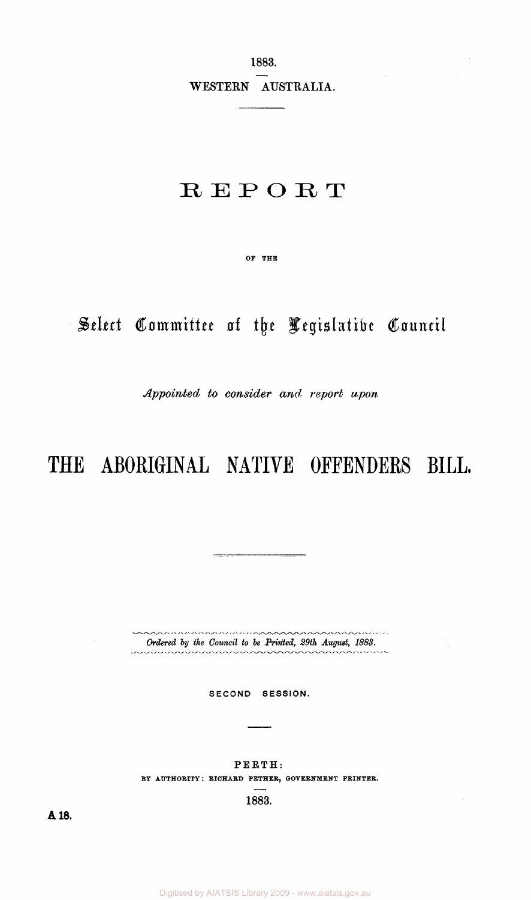1883.

WESTERN AUSTRALIA.

 $\overline{\phantom{a}}$ 

## **REPOR T**

OF THE

# *Select Committee of the Legislative Council*

*Appointed to consider and report upon* 

# THE ABORIGINAL NATIVE OFFENDERS BILL.

\*\*\*\*\*\*\*\*\*\*\*\*\*\*\*\*\*\*\*\*  $\sim$ *Ordered by the Council to be Printed, 29th August, 1883.*  ~~~~~~~~~

 $\sim$ 

للرابط المر

SECOND SESSION.

PERTH: BY AUTHORITY: RICHARD PETHER, GOVERNMENT PRINTER.

1883.

**A18 .**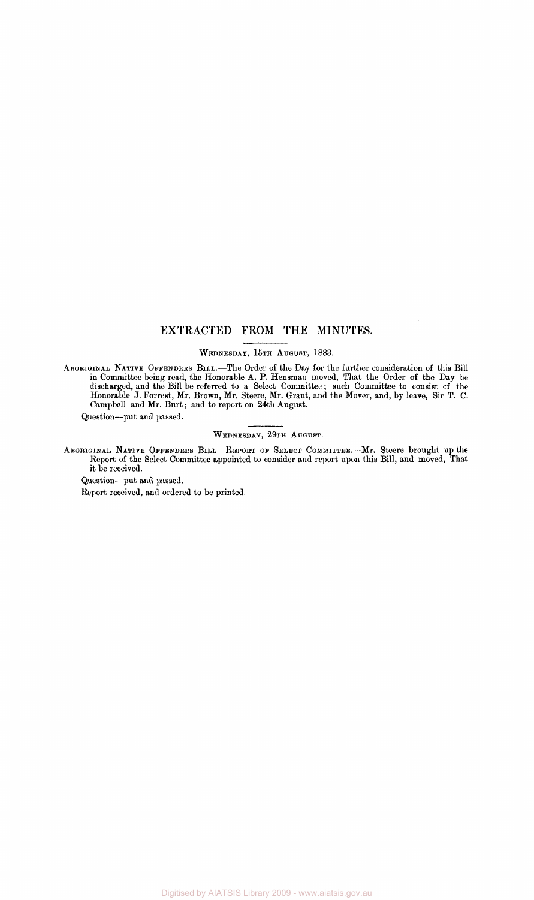#### EXTRACTED FROM THE MINUTES.

#### WEDNESDAY, 15TH AUGUST, 1883.

ABORIGINAL NATIVE OFFENDERS BILL.—The Order of the Day for the further consideration of this Bill in Committee being read, the Honorable A. P. Hensman moved, That the Order of the Day be discharged, and the Bill be referred to a Select Committee; such Committee to consist of the Honorable J. Forrest, Mr. Brown, Mr. Steere, Mr. Grant, and the Mover, and, by leave, Sir T. C. Campbell and Mr. Burt; and to report on 24th August.

Question—put and passed.

#### WEDNESDAY, 29TH AUGUST.

ABORIGINAL NATIVE OFFENDERS BILL—-REPORT OF SELECT COMMITTEE.—Mr. Steere brought up the Report of the Select Committee appointed to consider and report upon this Bill, and moved, That it be received.

Question—put and passed.

Report received, and ordered to be printed.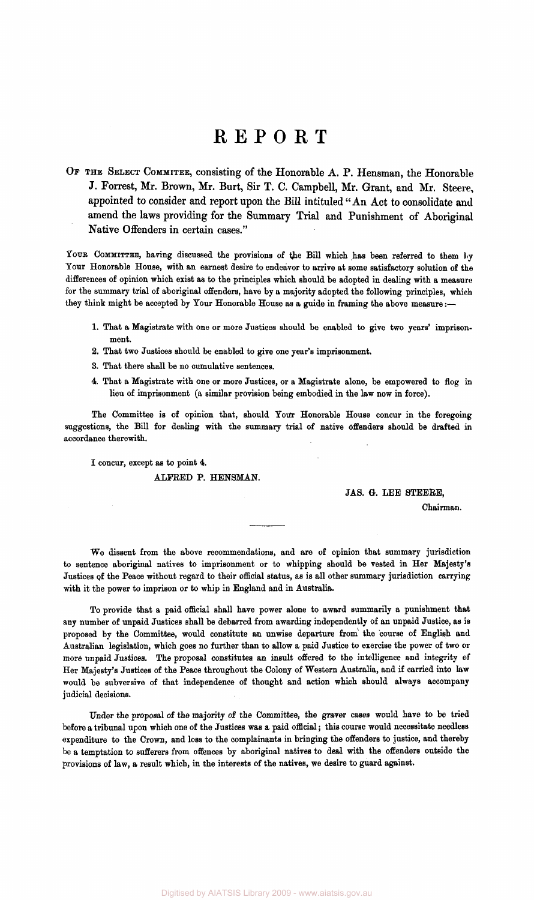### **REPOR T**

OF THE SELECT COMMITEE, consisting of the Honorable A. P. Hensman, the Honorable J. Forrest, Mr. Brown, Mr. Burt, Sir T. C. Campbell, Mr. Grant, and Mr. Steere, appointed to consider and report upon the Bill intituled "An Act to consolidate and amend the laws providing for the Summary Trial and Punishment of Aboriginal Native Offenders in certain cases."

YOUR COMMITTEE, having discussed the provisions of the Bill which has been referred to them by Your Honorable House, with an earnest desire to endeavor to arrive at some satisfactory solution of the differences of opinion which exist as to the principles which should be adopted in dealing with a measure for the summary trial of aboriginal offenders, have by a majority adopted the following principles, which they think might be accepted by Your Honorable House as a guide in framing the above measure:-

- 1. That a Magistrate with one or more Justices should be enabled to give two years' imprisonment.
- 2. That two Justices should be enabled to give one year's imprisonment.
- 3. That there shall be no cumulative sentences.
- 4. That a Magistrate with one or more Justices, or a Magistrate alone, be empowered to flog in lieu of imprisonment (a similar provision being embodied in the law now in force).

The Committee is of opinion that, should Your Honorable House concur in the foregoing suggestions, the Bill for dealing with the summary trial of native offenders should be drafted in accordance therewith.

I concur, except as to point 4. ALFRED P. HENSMAN.

#### JAS. G. LEE STEERE,

Chairman.

We dissent from the above recommendations, and are of opinion that summary jurisdiction to sentence aboriginal natives to imprisonment or to whipping should be vested in Her Majesty's Justices of the Peace without regard to their official status, as is all other summary jurisdiction carrying with it the power to imprison or to whip in England and in Australia.

To provide that a paid official shall have power alone to award summarily a punishment that any number of unpaid Justices shall be debarred from awarding independently of an unpaid Justice, as is proposed by the Committee, would constitute an unwise departure from the course of English and Australian legislation, which goes no further than to allow a paid Justice to exercise the power of two or more unpaid Justices. The proposal constitutes an insult offered to the intelligence and integrity of Her Majesty's Justices of the Peace throughout the Colony of Western Australia, and if carried into law would be subversive of that independence of thought and action which should always accompany judicial decisions.

Under the proposal of the majority of the Committee, the graver cases would have to be tried before a tribunal upon which one of the Justices was a paid official; this course would necessitate needless expenditure to the Crown, and loss to the complainants in bringing the offenders to justice, and thereby be a temptation to sufferers from offences by aboriginal natives to deal with the offenders outside the provisions of law, a result which, in the interests of the natives, we desire to guard against.